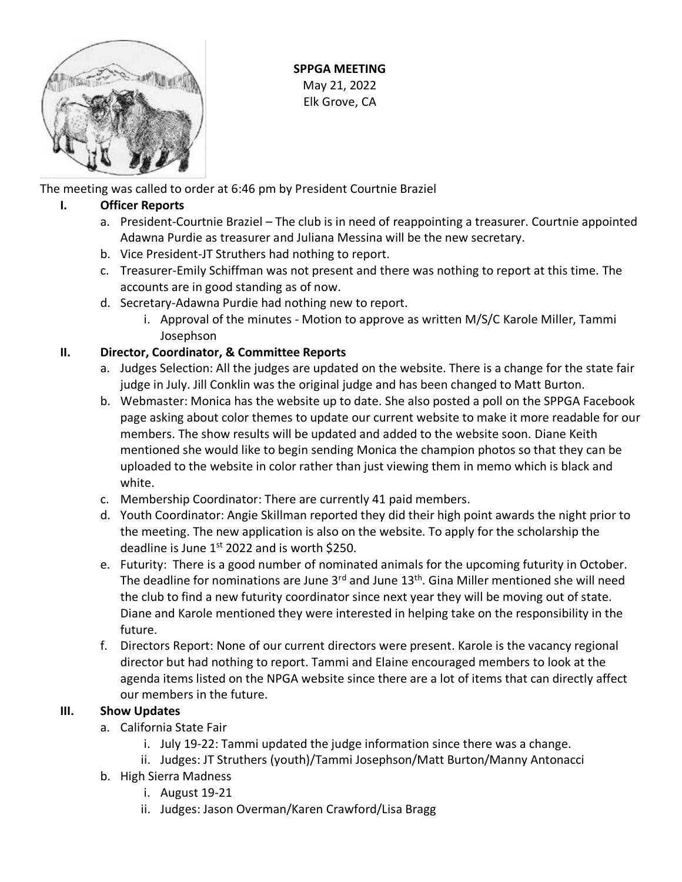

**SPPGA MEETING** May 21, 2022 Elk Grove, CA

The meeting was called to order at 6:46 pm by President Courtnie Braziel

## **I. Officer Reports**

- a. President-Courtnie Braziel The club is in need of reappointing a treasurer. Courtnie appointed Adawna Purdie as treasurer and Juliana Messina will be the new secretary.
- b. Vice President-JT Struthers had nothing to report.
- c. Treasurer-Emily Schiffman was not present and there was nothing to report at this time. The accounts are in good standing as of now.
- d. Secretary-Adawna Purdie had nothing new to report.
	- i. Approval of the minutes Motion to approve as written M/S/C Karole Miller, Tammi Josephson

## **II. Director, Coordinator, & Committee Reports**

- a. Judges Selection: All the judges are updated on the website. There is a change for the state fair judge in July. Jill Conklin was the original judge and has been changed to Matt Burton.
- b. Webmaster: Monica has the website up to date. She also posted a poll on the SPPGA Facebook page asking about color themes to update our current website to make it more readable for our members. The show results will be updated and added to the website soon. Diane Keith mentioned she would like to begin sending Monica the champion photos so that they can be uploaded to the website in color rather than just viewing them in memo which is black and white.
- c. Membership Coordinator: There are currently 41 paid members.
- d. Youth Coordinator: Angie Skillman reported they did their high point awards the night prior to the meeting. The new application is also on the website. To apply for the scholarship the deadline is June  $1<sup>st</sup>$  2022 and is worth \$250.
- e. Futurity: There is a good number of nominated animals for the upcoming futurity in October. The deadline for nominations are June 3<sup>rd</sup> and June 13<sup>th</sup>. Gina Miller mentioned she will need the club to find a new futurity coordinator since next year they will be moving out of state. Diane and Karole mentioned they were interested in helping take on the responsibility in the future.
- f. Directors Report: None of our current directors were present. Karole is the vacancy regional director but had nothing to report. Tammi and Elaine encouraged members to look at the agenda items listed on the NPGA website since there are a lot of items that can directly affect our members in the future.

# **III. Show Updates**

- a. California State Fair
	- i. July 19-22: Tammi updated the judge information since there was a change.
	- ii. Judges: JT Struthers (youth)/Tammi Josephson/Matt Burton/Manny Antonacci
- b. High Sierra Madness
	- i. August 19-21
	- ii. Judges: Jason Overman/Karen Crawford/Lisa Bragg